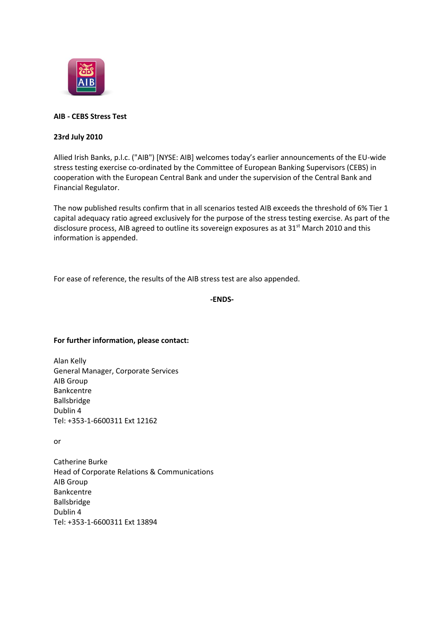

# **AIB - CEBS Stress Test**

## **23rd July 2010**

Allied Irish Banks, p.l.c. ("AIB") [NYSE: AIB] welcomes today's earlier announcements of the EU-wide stress testing exercise co-ordinated by the Committee of European Banking Supervisors (CEBS) in cooperation with the European Central Bank and under the supervision of the Central Bank and Financial Regulator.

The now published results confirm that in all scenarios tested AIB exceeds the threshold of 6% Tier 1 capital adequacy ratio agreed exclusively for the purpose of the stress testing exercise. As part of the disclosure process, AIB agreed to outline its sovereign exposures as at 31<sup>st</sup> March 2010 and this information is appended.

For ease of reference, the results of the AIB stress test are also appended.

```
-ENDS-
```
## **For further information, please contact:**

Alan Kelly General Manager, Corporate Services AIB Group Bankcentre Ballsbridge Dublin 4 Tel: +353-1-6600311 Ext 12162

or

Catherine Burke Head of Corporate Relations & Communications AIB Group Bankcentre Ballsbridge Dublin 4 Tel: +353-1-6600311 Ext 13894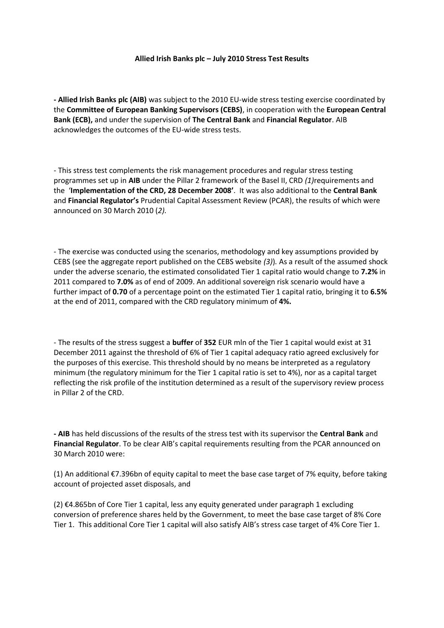#### **Allied Irish Banks plc – July 2010 Stress Test Results**

**- Allied Irish Banks plc (AIB)** was subject to the 2010 EU-wide stress testing exercise coordinated by the **Committee of European Banking Supervisors (CEBS)**, in cooperation with the **European Central Bank (ECB),** and under the supervision of **The Central Bank** and **Financial Regulator**. AIB acknowledges the outcomes of the EU-wide stress tests.

- This stress test complements the risk management procedures and regular stress testing programmes set up in **AIB** under the Pillar 2 framework of the Basel II, CRD *(1)*requirements and the '**Implementation of the CRD, 28 December 2008'**. It was also additional to the **Central Bank** and **Financial Regulator's** Prudential Capital Assessment Review (PCAR), the results of which were announced on 30 March 2010 (*2).*

- The exercise was conducted using the scenarios, methodology and key assumptions provided by CEBS (see the aggregate report published on the CEBS website *(3)*)*.* As a result of the assumed shock under the adverse scenario, the estimated consolidated Tier 1 capital ratio would change to **7.2%** in 2011 compared to **7.0%** as of end of 2009. An additional sovereign risk scenario would have a further impact of **0.70** of a percentage point on the estimated Tier 1 capital ratio, bringing it to **6.5%** at the end of 2011, compared with the CRD regulatory minimum of **4%.**

- The results of the stress suggest a **buffer** of **352** EUR mln of the Tier 1 capital would exist at 31 December 2011 against the threshold of 6% of Tier 1 capital adequacy ratio agreed exclusively for the purposes of this exercise. This threshold should by no means be interpreted as a regulatory minimum (the regulatory minimum for the Tier 1 capital ratio is set to 4%), nor as a capital target reflecting the risk profile of the institution determined as a result of the supervisory review process in Pillar 2 of the CRD.

**- AIB** has held discussions of the results of the stress test with its supervisor the **Central Bank** and **Financial Regulator**. To be clear AIB's capital requirements resulting from the PCAR announced on 30 March 2010 were:

(1) An additional €7.396bn of equity capital to meet the base case target of 7% equity, before taking account of projected asset disposals, and

(2) €4.865bn of Core Tier 1 capital, less any equity generated under paragraph 1 excluding conversion of preference shares held by the Government, to meet the base case target of 8% Core Tier 1. This additional Core Tier 1 capital will also satisfy AIB's stress case target of 4% Core Tier 1.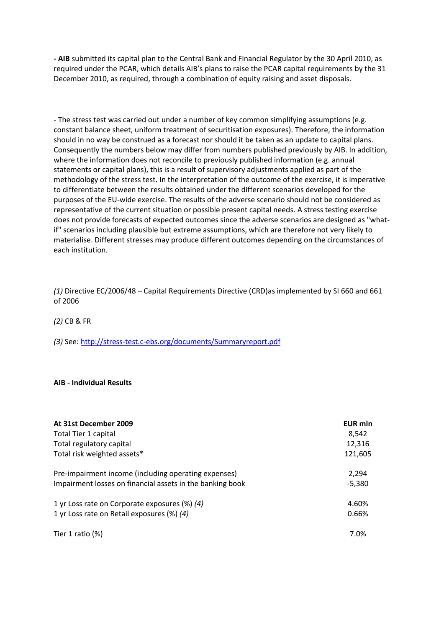**- AIB** submitted its capital plan to the Central Bank and Financial Regulator by the 30 April 2010, as required under the PCAR, which details AIB's plans to raise the PCAR capital requirements by the 31 December 2010, as required, through a combination of equity raising and asset disposals.

- The stress test was carried out under a number of key common simplifying assumptions (e.g. constant balance sheet, uniform treatment of securitisation exposures). Therefore, the information should in no way be construed as a forecast nor should it be taken as an update to capital plans. Consequently the numbers below may differ from numbers published previously by AIB. In addition, where the information does not reconcile to previously published information (e.g. annual statements or capital plans), this is a result of supervisory adjustments applied as part of the methodology of the stress test. In the interpretation of the outcome of the exercise, it is imperative to differentiate between the results obtained under the different scenarios developed for the purposes of the EU-wide exercise. The results of the adverse scenario should not be considered as representative of the current situation or possible present capital needs. A stress testing exercise does not provide forecasts of expected outcomes since the adverse scenarios are designed as "whatif" scenarios including plausible but extreme assumptions, which are therefore not very likely to materialise. Different stresses may produce different outcomes depending on the circumstances of each institution.

*(1)* Directive EC/2006/48 – Capital Requirements Directive (CRD)as implemented by SI 660 and 661 of 2006

*(2)* CB & FR

*(3)* See:<http://stress-test.c-ebs.org/documents/Summaryreport.pdf>

## **AIB - Individual Results**

| At 31st December 2009                                     | EUR mln  |
|-----------------------------------------------------------|----------|
| Total Tier 1 capital                                      | 8,542    |
| Total regulatory capital                                  | 12,316   |
| Total risk weighted assets*                               | 121,605  |
| Pre-impairment income (including operating expenses)      | 2.294    |
| Impairment losses on financial assets in the banking book | $-5,380$ |
| 1 yr Loss rate on Corporate exposures (%) (4)             | 4.60%    |
| 1 yr Loss rate on Retail exposures (%) (4)                | 0.66%    |
| Tier 1 ratio $(\%)$                                       | 7.0%     |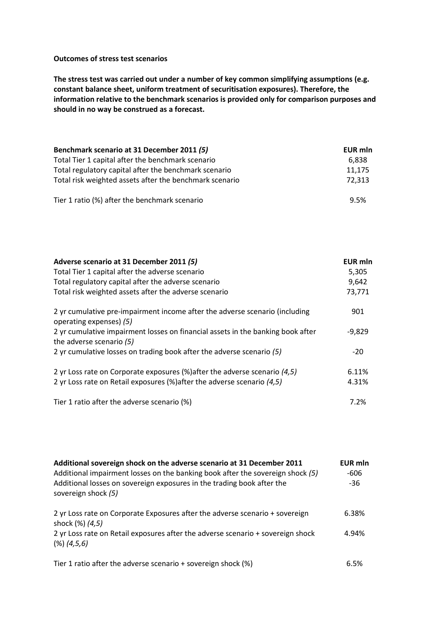### **Outcomes of stress test scenarios**

**The stress test was carried out under a number of key common simplifying assumptions (e.g. constant balance sheet, uniform treatment of securitisation exposures). Therefore, the information relative to the benchmark scenarios is provided only for comparison purposes and should in no way be construed as a forecast.**

| Benchmark scenario at 31 December 2011 (5)              | <b>EUR mln</b> |  |
|---------------------------------------------------------|----------------|--|
| Total Tier 1 capital after the benchmark scenario       | 6.838          |  |
| Total regulatory capital after the benchmark scenario   | 11,175         |  |
| Total risk weighted assets after the benchmark scenario | 72.313         |  |
| Tier 1 ratio (%) after the benchmark scenario           | 9.5%           |  |

| Adverse scenario at 31 December 2011 (5)                                                                    | EUR mln  |
|-------------------------------------------------------------------------------------------------------------|----------|
| Total Tier 1 capital after the adverse scenario                                                             | 5,305    |
| Total regulatory capital after the adverse scenario                                                         | 9,642    |
| Total risk weighted assets after the adverse scenario                                                       | 73,771   |
| 2 yr cumulative pre-impairment income after the adverse scenario (including<br>operating expenses) (5)      | 901      |
| 2 yr cumulative impairment losses on financial assets in the banking book after<br>the adverse scenario (5) | $-9,829$ |
| 2 yr cumulative losses on trading book after the adverse scenario (5)                                       | $-20$    |
| 2 yr Loss rate on Corporate exposures (%) after the adverse scenario $(4,5)$                                | 6.11%    |
| 2 yr Loss rate on Retail exposures (%) after the adverse scenario (4,5)                                     | 4.31%    |
| Tier 1 ratio after the adverse scenario (%)                                                                 | 7.2%     |

| Additional sovereign shock on the adverse scenario at 31 December 2011<br>Additional impairment losses on the banking book after the sovereign shock (5)<br>Additional losses on sovereign exposures in the trading book after the<br>sovereign shock (5) | <b>EUR mln</b><br>-606<br>$-36$ |
|-----------------------------------------------------------------------------------------------------------------------------------------------------------------------------------------------------------------------------------------------------------|---------------------------------|
| 2 yr Loss rate on Corporate Exposures after the adverse scenario + sovereign<br>shock (%) (4,5)                                                                                                                                                           | 6.38%                           |
| 2 yr Loss rate on Retail exposures after the adverse scenario + sovereign shock<br>(%) (4,5,6)                                                                                                                                                            | 4.94%                           |
| Tier 1 ratio after the adverse scenario + sovereign shock (%)                                                                                                                                                                                             | 6.5%                            |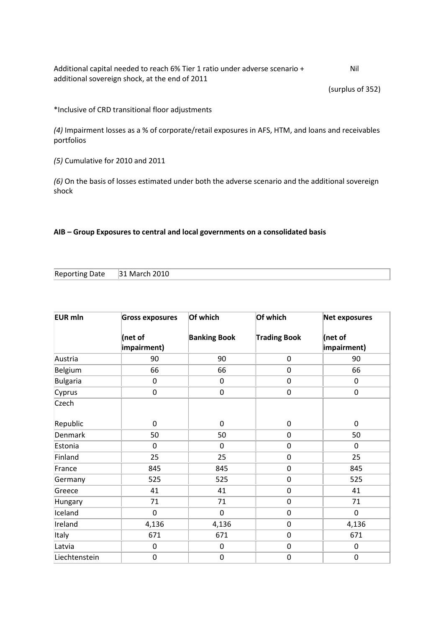Additional capital needed to reach 6% Tier 1 ratio under adverse scenario + additional sovereign shock, at the end of 2011 Nil

(surplus of 352)

\*Inclusive of CRD transitional floor adjustments

*(4)* Impairment losses as a % of corporate/retail exposures in AFS, HTM, and loans and receivables portfolios

*(5)* Cumulative for 2010 and 2011

*(6)* On the basis of losses estimated under both the adverse scenario and the additional sovereign shock

## **AIB – Group Exposures to central and local governments on a consolidated basis**

| Reporting Date 31 March 2010 |  |
|------------------------------|--|
|------------------------------|--|

| <b>EUR mln</b>  | <b>Gross exposures</b> | Of which            | Of which            | Net exposures          |
|-----------------|------------------------|---------------------|---------------------|------------------------|
|                 | (net of<br>impairment) | <b>Banking Book</b> | <b>Trading Book</b> | (net of<br>impairment) |
| Austria         | 90                     | 90                  | $\boldsymbol{0}$    | 90                     |
| Belgium         | 66                     | 66                  | $\mathbf 0$         | 66                     |
| <b>Bulgaria</b> | 0                      | $\boldsymbol{0}$    | $\pmb{0}$           | $\mathbf 0$            |
| Cyprus          | $\pmb{0}$              | $\mathbf 0$         | $\pmb{0}$           | $\mathbf 0$            |
| Czech           |                        |                     |                     |                        |
| Republic        | 0                      | $\mathbf 0$         | $\boldsymbol{0}$    | $\mathbf 0$            |
| <b>Denmark</b>  | 50                     | 50                  | $\boldsymbol{0}$    | 50                     |
| Estonia         | $\overline{0}$         | $\mathbf 0$         | $\pmb{0}$           | $\mathbf 0$            |
| Finland         | 25                     | 25                  | $\mathbf 0$         | 25                     |
| France          | 845                    | 845                 | $\pmb{0}$           | 845                    |
| Germany         | 525                    | 525                 | $\pmb{0}$           | 525                    |
| Greece          | 41                     | 41                  | $\pmb{0}$           | 41                     |
| Hungary         | 71                     | 71                  | $\mathbf 0$         | 71                     |
| Iceland         | $\mathbf 0$            | $\mathbf 0$         | $\pmb{0}$           | $\overline{0}$         |
| Ireland         | 4,136                  | 4,136               | $\pmb{0}$           | 4,136                  |
| Italy           | 671                    | 671                 | $\mathbf 0$         | 671                    |
| Latvia          | $\boldsymbol{0}$       | $\boldsymbol{0}$    | $\pmb{0}$           | $\boldsymbol{0}$       |
| Liechtenstein   | $\boldsymbol{0}$       | $\boldsymbol{0}$    | $\boldsymbol{0}$    | $\mathbf 0$            |